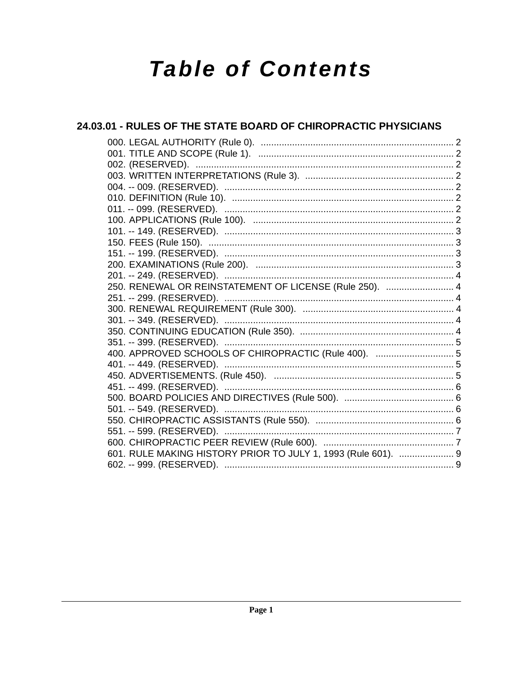# **Table of Contents**

### 24.03.01 - RULES OF THE STATE BOARD OF CHIROPRACTIC PHYSICIANS

| 250. RENEWAL OR REINSTATEMENT OF LICENSE (Rule 250).  4       |  |
|---------------------------------------------------------------|--|
|                                                               |  |
|                                                               |  |
|                                                               |  |
|                                                               |  |
|                                                               |  |
| 400. APPROVED SCHOOLS OF CHIROPRACTIC (Rule 400).  5          |  |
|                                                               |  |
|                                                               |  |
|                                                               |  |
|                                                               |  |
|                                                               |  |
|                                                               |  |
|                                                               |  |
|                                                               |  |
| 601. RULE MAKING HISTORY PRIOR TO JULY 1, 1993 (Rule 601).  9 |  |
|                                                               |  |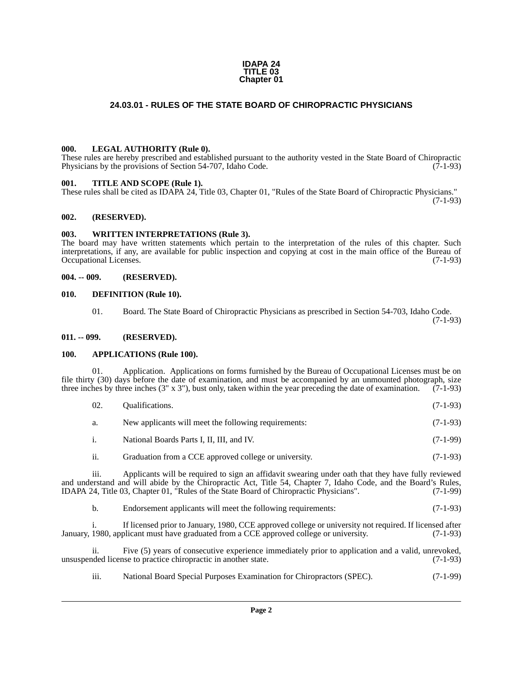#### **IDAPA 24 TITLE 03 Chapter 01**

### **24.03.01 - RULES OF THE STATE BOARD OF CHIROPRACTIC PHYSICIANS**

#### <span id="page-1-1"></span><span id="page-1-0"></span>**000. LEGAL AUTHORITY (Rule 0).**

These rules are hereby prescribed and established pursuant to the authority vested in the State Board of Chiropractic Physicians by the provisions of Section 54-707, Idaho Code. (7-1-93)

#### <span id="page-1-2"></span>**001. TITLE AND SCOPE (Rule 1).**

These rules shall be cited as IDAPA 24, Title 03, Chapter 01, "Rules of the State Board of Chiropractic Physicians." (7-1-93)

#### <span id="page-1-3"></span>**002. (RESERVED).**

#### <span id="page-1-4"></span>**003. WRITTEN INTERPRETATIONS (Rule 3).**

The board may have written statements which pertain to the interpretation of the rules of this chapter. Such interpretations, if any, are available for public inspection and copying at cost in the main office of the Bureau of Occupational Licenses.

#### <span id="page-1-5"></span>**004. -- 009. (RESERVED).**

#### <span id="page-1-6"></span>**010. DEFINITION (Rule 10).**

01. Board. The State Board of Chiropractic Physicians as prescribed in Section 54-703, Idaho Code. (7-1-93)

#### <span id="page-1-7"></span>**011. -- 099. (RESERVED).**

#### <span id="page-1-8"></span>**100. APPLICATIONS (Rule 100).**

01. Application. Applications on forms furnished by the Bureau of Occupational Licenses must be on file thirty (30) days before the date of examination, and must be accompanied by an unmounted photograph, size three inches by three inches (3" x 3"), bust only, taken within the year preceding the date of examination.  $(7-1-93)$ 

| -02.                      | Qualifications.                                       | $(7-1-93)$ |
|---------------------------|-------------------------------------------------------|------------|
| a.                        | New applicants will meet the following requirements:  | $(7-1-93)$ |
| $\mathbf{1}$ .            | National Boards Parts I, II, III, and IV.             | $(7-1-99)$ |
| $\overline{\mathbf{u}}$ . | Graduation from a CCE approved college or university. | $(7-1-93)$ |

iii. Applicants will be required to sign an affidavit swearing under oath that they have fully reviewed and understand and will abide by the Chiropractic Act, Title 54, Chapter 7, Idaho Code, and the Board's Rules,<br>IDAPA 24, Title 03, Chapter 01, "Rules of the State Board of Chiropractic Physicians". (7-1-99) IDAPA 24, Title 03, Chapter 01, "Rules of the State Board of Chiropractic Physicians".

b. Endorsement applicants will meet the following requirements: (7-1-93)

If licensed prior to January, 1980, CCE approved college or university not required. If licensed after January, 1980, applicant must have graduated from a CCE approved college or university. (7-1-93)

ii. Five (5) years of consecutive experience immediately prior to application and a valid, unrevoked, unsuspended license to practice chiropractic in another state.

iii. National Board Special Purposes Examination for Chiropractors (SPEC). (7-1-99)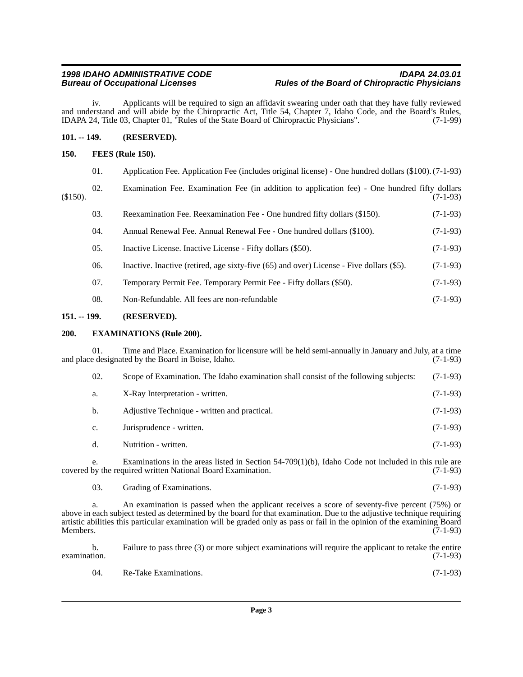iv. Applicants will be required to sign an affidavit swearing under oath that they have fully reviewed and understand and will abide by the Chiropractic Act, Title 54, Chapter 7, Idaho Code, and the Board's Rules,<br>IDAPA 24, Title 03, Chapter 01, "Rules of the State Board of Chiropractic Physicians". (7-1-99) IDAPA 24, Title 03, Chapter 01, "Rules of the State Board of Chiropractic Physicians".

### <span id="page-2-0"></span>**101. -- 149. (RESERVED).**

### <span id="page-2-1"></span>**150. FEES (Rule 150).**

| 01. | Application Fee. Application Fee (includes original license) - One hundred dollars (\$100). (7-1-93) |  |  |  |  |  |  |  |
|-----|------------------------------------------------------------------------------------------------------|--|--|--|--|--|--|--|
|-----|------------------------------------------------------------------------------------------------------|--|--|--|--|--|--|--|

|          | Examination Fee. Examination Fee (in addition to application fee) - One hundred fifty dollars |  |  |  |  |  |            |
|----------|-----------------------------------------------------------------------------------------------|--|--|--|--|--|------------|
| (\$150). |                                                                                               |  |  |  |  |  | $(7-1-93)$ |

| 03.<br>Reexamination Fee. Reexamination Fee - One hundred fifty dollars (\$150). | $(7-1-93)$ |
|----------------------------------------------------------------------------------|------------|
|----------------------------------------------------------------------------------|------------|

| Annual Renewal Fee. Annual Renewal Fee - One hundred dollars (\$100).<br>04. | $(7-1-93)$ |  |
|------------------------------------------------------------------------------|------------|--|
|------------------------------------------------------------------------------|------------|--|

- 05. Inactive License. Inactive License Fifty dollars (\$50). (7-1-93)
- 06. Inactive. Inactive (retired, age sixty-five (65) and over) License Five dollars (\$5). (7-1-93)
- 07. Temporary Permit Fee. Temporary Permit Fee Fifty dollars (\$50). (7-1-93)
- 08. Non-Refundable. All fees are non-refundable (7-1-93)

#### <span id="page-2-2"></span>**151. -- 199. (RESERVED).**

#### <span id="page-2-3"></span>**200. EXAMINATIONS (Rule 200).**

01. Time and Place. Examination for licensure will be held semi-annually in January and July, at a time be designated by the Board in Boise, Idaho. (7-1-93) and place designated by the Board in Boise, Idaho.

| 02. | Scope of Examination. The Idaho examination shall consist of the following subjects: | $(7-1-93)$ |
|-----|--------------------------------------------------------------------------------------|------------|
| a.  | X-Ray Interpretation - written.                                                      | $(7-1-93)$ |
| b.  | Adjustive Technique - written and practical.                                         | $(7-1-93)$ |
| c.  | Jurisprudence - written.                                                             | $(7-1-93)$ |
|     | Nutrition - written.                                                                 | $(7-1-93)$ |

e. Examinations in the areas listed in Section  $54-709(1)(b)$ , Idaho Code not included in this rule are by the required written National Board Examination. (7-1-93) covered by the required written National Board Examination.

03. Grading of Examinations. (7-1-93)

An examination is passed when the applicant receives a score of seventy-five percent (75%) or above in each subject tested as determined by the board for that examination. Due to the adjustive technique requiring artistic abilities this particular examination will be graded only as pass or fail in the opinion of the examining Board Members. (7-1-93)

b. Failure to pass three (3) or more subject examinations will require the applicant to retake the entire examination. (7-1-93)  $\alpha$  examination.  $(7-1-93)$ 

| -04. | Re-Take Examinations. | $(7-1-93)$ |  |
|------|-----------------------|------------|--|
|------|-----------------------|------------|--|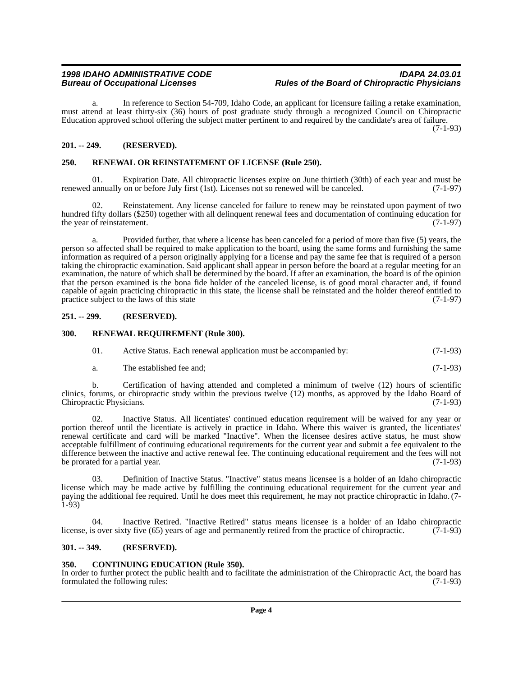a. In reference to Section 54-709, Idaho Code, an applicant for licensure failing a retake examination, must attend at least thirty-six (36) hours of post graduate study through a recognized Council on Chiropractic Education approved school offering the subject matter pertinent to and required by the candidate's area of failure.

(7-1-93)

### <span id="page-3-0"></span>**201. -- 249. (RESERVED).**

### <span id="page-3-1"></span>**250. RENEWAL OR REINSTATEMENT OF LICENSE (Rule 250).**

01. Expiration Date. All chiropractic licenses expire on June thirtieth (30th) of each year and must be annually on or before July first (1st). Licenses not so renewed will be canceled. (7-1-97) renewed annually on or before July first (1st). Licenses not so renewed will be canceled.

02. Reinstatement. Any license canceled for failure to renew may be reinstated upon payment of two hundred fifty dollars (\$250) together with all delinquent renewal fees and documentation of continuing education for the year of reinstatement. (7-1-97)

a. Provided further, that where a license has been canceled for a period of more than five (5) years, the person so affected shall be required to make application to the board, using the same forms and furnishing the same information as required of a person originally applying for a license and pay the same fee that is required of a person taking the chiropractic examination. Said applicant shall appear in person before the board at a regular meeting for an examination, the nature of which shall be determined by the board. If after an examination, the board is of the opinion that the person examined is the bona fide holder of the canceled license, is of good moral character and, if found capable of again practicing chiropractic in this state, the license shall be reinstated and the holder thereof entitled to practice subject to the laws of this state practice subject to the laws of this state

#### <span id="page-3-2"></span>**251. -- 299. (RESERVED).**

#### <span id="page-3-3"></span>**300. RENEWAL REQUIREMENT (Rule 300).**

- 01. Active Status. Each renewal application must be accompanied by: (7-1-93)
- a. The established fee and; (7-1-93)

b. Certification of having attended and completed a minimum of twelve (12) hours of scientific clinics, forums, or chiropractic study within the previous twelve (12) months, as approved by the Idaho Board of Chiropractic Physicians. (7-1-93) Chiropractic Physicians.

02. Inactive Status. All licentiates' continued education requirement will be waived for any year or portion thereof until the licentiate is actively in practice in Idaho. Where this waiver is granted, the licentiates' renewal certificate and card will be marked "Inactive". When the licensee desires active status, he must show acceptable fulfillment of continuing educational requirements for the current year and submit a fee equivalent to the difference between the inactive and active renewal fee. The continuing educational requirement and the fees will not be prorated for a partial year. (7-1-93)

03. Definition of Inactive Status. "Inactive" status means licensee is a holder of an Idaho chiropractic license which may be made active by fulfilling the continuing educational requirement for the current year and paying the additional fee required. Until he does meet this requirement, he may not practice chiropractic in Idaho. (7- 1-93)

Inactive Retired. "Inactive Retired" status means licensee is a holder of an Idaho chiropractic (7-1-93) license, is over sixty five (65) years of age and permanently retired from the practice of chiropractic.

#### <span id="page-3-4"></span>**301. -- 349. (RESERVED).**

#### <span id="page-3-5"></span>**350. CONTINUING EDUCATION (Rule 350).**

In order to further protect the public health and to facilitate the administration of the Chiropractic Act, the board has formulated the following rules: (7-1-93) formulated the following rules: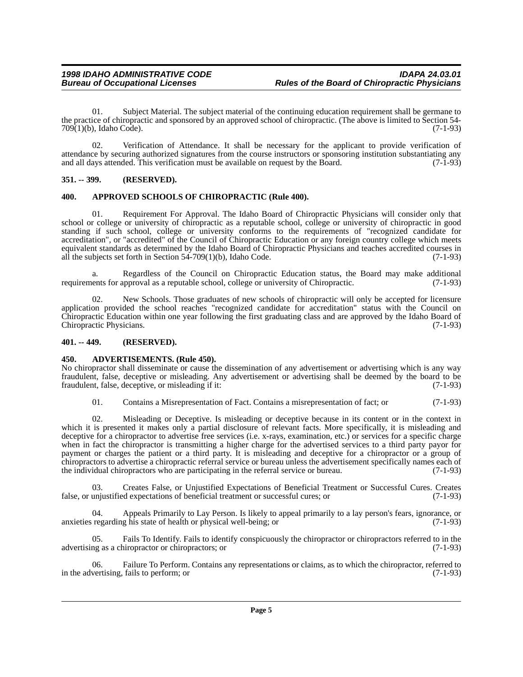01. Subject Material. The subject material of the continuing education requirement shall be germane to the practice of chiropractic and sponsored by an approved school of chiropractic. (The above is limited to Section 54-<br>
709(1)(b). Idaho Code). (7-1-93)  $709(1)(b)$ , Idaho Code).

02. Verification of Attendance. It shall be necessary for the applicant to provide verification of attendance by securing authorized signatures from the course instructors or sponsoring institution substantiating any and all days attended. This verification must be available on request by the Board. (7-1-93)

#### <span id="page-4-0"></span>**351. -- 399. (RESERVED).**

#### <span id="page-4-1"></span>**400. APPROVED SCHOOLS OF CHIROPRACTIC (Rule 400).**

01. Requirement For Approval. The Idaho Board of Chiropractic Physicians will consider only that school or college or university of chiropractic as a reputable school, college or university of chiropractic in good standing if such school, college or university conforms to the requirements of "recognized candidate for accreditation", or "accredited" of the Council of Chiropractic Education or any foreign country college which meets equivalent standards as determined by the Idaho Board of Chiropractic Physicians and teaches accredited courses in all the subjects set forth in Section 54-709(1)(b), Idaho Code.  $(7-1-93)$ 

a. Regardless of the Council on Chiropractic Education status, the Board may make additional neuts for approval as a reputable school, college or university of Chiropractic. (7-1-93) requirements for approval as a reputable school, college or university of Chiropractic.

02. New Schools. Those graduates of new schools of chiropractic will only be accepted for licensure application provided the school reaches "recognized candidate for accreditation" status with the Council on Chiropractic Education within one year following the first graduating class and are approved by the Idaho Board of Chiropractic Physicians.

#### <span id="page-4-2"></span>**401. -- 449. (RESERVED).**

#### <span id="page-4-3"></span>**450. ADVERTISEMENTS. (Rule 450).**

No chiropractor shall disseminate or cause the dissemination of any advertisement or advertising which is any way fraudulent, false, deceptive or misleading. Any advertisement or advertising shall be deemed by the board to be fraudulent, false, deceptive, or misleading if it:

01. Contains a Misrepresentation of Fact. Contains a misrepresentation of fact; or (7-1-93)

02. Misleading or Deceptive. Is misleading or deceptive because in its content or in the context in which it is presented it makes only a partial disclosure of relevant facts. More specifically, it is misleading and deceptive for a chiropractor to advertise free services (i.e. x-rays, examination, etc.) or services for a specific charge when in fact the chiropractor is transmitting a higher charge for the advertised services to a third party payor for payment or charges the patient or a third party. It is misleading and deceptive for a chiropractor or a group of chiropractors to advertise a chiropractic referral service or bureau unless the advertisement specifically names each of the individual chiropractors who are participating in the referral service or bureau. (7-1-93) the individual chiropractors who are participating in the referral service or bureau.

03. Creates False, or Unjustified Expectations of Beneficial Treatment or Successful Cures. Creates uniustified expectations of beneficial treatment or successful cures: or (7-1-93) false, or unjustified expectations of beneficial treatment or successful cures; or

04. Appeals Primarily to Lay Person. Is likely to appeal primarily to a lay person's fears, ignorance, or regarding his state of health or physical well-being: or (7-1-93) anxieties regarding his state of health or physical well-being; or

Fails To Identify. Fails to identify conspicuously the chiropractor or chiropractors referred to in the hiropractor or chiropractors: or (7-1-93) advertising as a chiropractor or chiropractors; or

06. Failure To Perform. Contains any representations or claims, as to which the chiropractor, referred to evertising, fails to perform; or in the advertising, fails to perform; or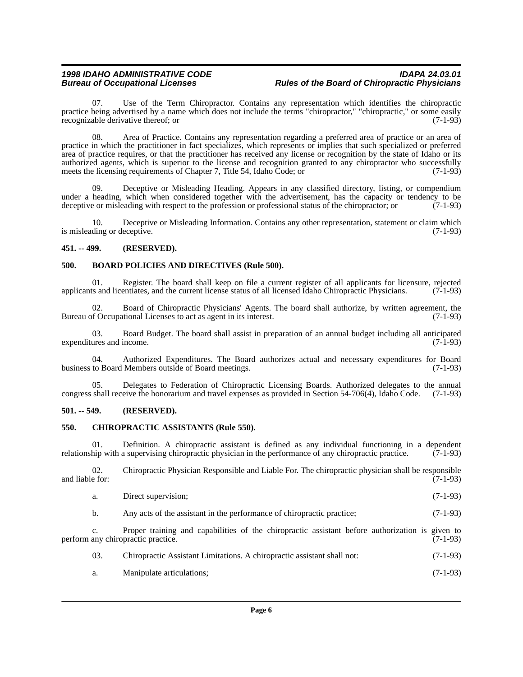07. Use of the Term Chiropractor. Contains any representation which identifies the chiropractic practice being advertised by a name which does not include the terms "chiropractor," "chiropractic," or some easily<br>recognizable derivative thereof: or (7-1-93) recognizable derivative thereof; or

08. Area of Practice. Contains any representation regarding a preferred area of practice or an area of practice in which the practitioner in fact specializes, which represents or implies that such specialized or preferred area of practice requires, or that the practitioner has received any license or recognition by the state of Idaho or its authorized agents, which is superior to the license and recognition granted to any chiropractor who successfully meets the licensing requirements of Chapter 7. Title 54, Idaho Code: or (7-1-93) meets the licensing requirements of Chapter 7, Title 54, Idaho Code; or

09. Deceptive or Misleading Heading. Appears in any classified directory, listing, or compendium under a heading, which when considered together with the advertisement, has the capacity or tendency to be deceptive or misleading with respect to the profession or professional status of the chiropractor: or (7-1-93) deceptive or misleading with respect to the profession or professional status of the chiropractor; or

10. Deceptive or Misleading Information. Contains any other representation, statement or claim which ding or deceptive. (7-1-93) is misleading or deceptive.

#### <span id="page-5-0"></span>**451. -- 499. (RESERVED).**

#### <span id="page-5-1"></span>**500. BOARD POLICIES AND DIRECTIVES (Rule 500).**

01. Register. The board shall keep on file a current register of all applicants for licensure, rejected ts and licentiates, and the current license status of all licensed Idaho Chiropractic Physicians. (7-1-93) applicants and licentiates, and the current license status of all licensed Idaho Chiropractic Physicians.

02. Board of Chiropractic Physicians' Agents. The board shall authorize, by written agreement, the of Occupational Licenses to act as agent in its interest. (7-1-93) Bureau of Occupational Licenses to act as agent in its interest.

03. Board Budget. The board shall assist in preparation of an annual budget including all anticipated ures and income. (7-1-93) expenditures and income.

04. Authorized Expenditures. The Board authorizes actual and necessary expenditures for Board to Board Members outside of Board meetings. (7-1-93) business to Board Members outside of Board meetings.

05. Delegates to Federation of Chiropractic Licensing Boards. Authorized delegates to the annual shall receive the honorarium and travel expenses as provided in Section 54-706(4), Idaho Code. (7-1-93) congress shall receive the honorarium and travel expenses as provided in Section 54-706(4), Idaho Code.

#### <span id="page-5-2"></span>**501. -- 549. (RESERVED).**

#### <span id="page-5-3"></span>**550. CHIROPRACTIC ASSISTANTS (Rule 550).**

01. Definition. A chiropractic assistant is defined as any individual functioning in a dependent hip with a supervising chiropractic physician in the performance of any chiropractic practice.  $(7-1-93)$ relationship with a supervising chiropractic physician in the performance of any chiropractic practice.

02. Chiropractic Physician Responsible and Liable For. The chiropractic physician shall be responsible e for: (7-1-93) and liable for:

|  | Direct supervision: | $(7-1-93)$ |  |
|--|---------------------|------------|--|
|--|---------------------|------------|--|

b. Any acts of the assistant in the performance of chiropractic practice; (7-1-93)

c. Proper training and capabilities of the chiropractic assistant before authorization is given to perform any chiropractic practice. (7-1-93)

- 03. Chiropractic Assistant Limitations. A chiropractic assistant shall not: (7-1-93)
- a. Manipulate articulations; (7-1-93)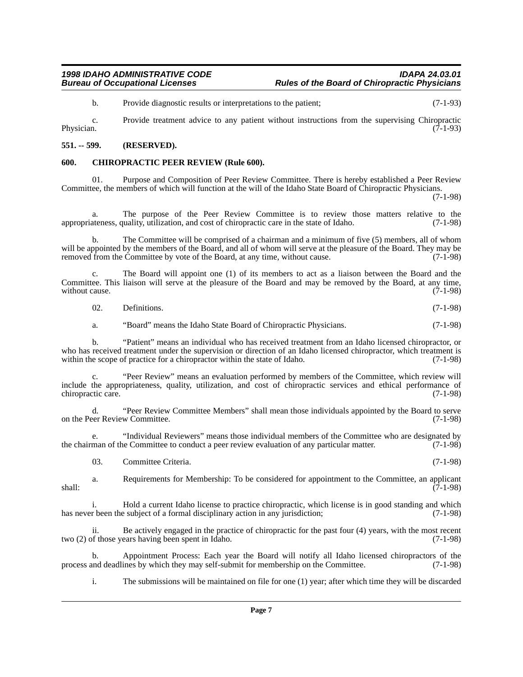b. Provide diagnostic results or interpretations to the patient; (7-1-93)

c. Provide treatment advice to any patient without instructions from the supervising Chiropractic Physician. (7-1-93)

#### <span id="page-6-0"></span>**551. -- 599. (RESERVED).**

#### <span id="page-6-1"></span>**600. CHIROPRACTIC PEER REVIEW (Rule 600).**

Purpose and Composition of Peer Review Committee. There is hereby established a Peer Review Committee, the members of which will function at the will of the Idaho State Board of Chiropractic Physicians.

(7-1-98)

The purpose of the Peer Review Committee is to review those matters relative to the appropriateness, quality, utilization, and cost of chiropractic care in the state of Idaho. (7-1-98)

b. The Committee will be comprised of a chairman and a minimum of five (5) members, all of whom will be appointed by the members of the Board, and all of whom will serve at the pleasure of the Board. They may be removed from the Committee by vote of the Board, at any time, without cause. (7-1-98)

c. The Board will appoint one (1) of its members to act as a liaison between the Board and the Committee. This liaison will serve at the pleasure of the Board and may be removed by the Board, at any time, without cause. (7-1-98) without cause.

 $02.$  Definitions.  $(7-1-98)$ 

a. "Board" means the Idaho State Board of Chiropractic Physicians. (7-1-98)

b. "Patient" means an individual who has received treatment from an Idaho licensed chiropractor, or who has received treatment under the supervision or direction of an Idaho licensed chiropractor, which treatment is within the scope of practice for a chiropractor within the state of Idaho. (7-1-98) within the scope of practice for a chiropractor within the state of Idaho.

"Peer Review" means an evaluation performed by members of the Committee, which review will include the appropriateness, quality, utilization, and cost of chiropractic services and ethical performance of chiropractic care.

d. "Peer Review Committee Members" shall mean those individuals appointed by the Board to serve<br>eer Review Committee. (7-1-98) on the Peer Review Committee.

e. "Individual Reviewers" means those individual members of the Committee who are designated by<br>man of the Committee to conduct a peer review evaluation of any particular matter. (7-1-98) the chairman of the Committee to conduct a peer review evaluation of any particular matter.

03. Committee Criteria. (7-1-98)

a. Requirements for Membership: To be considered for appointment to the Committee, an applicant (7-1-98) shall: (7-1-98)

i. Hold a current Idaho license to practice chiropractic, which license is in good standing and which has never been the subject of a formal disciplinary action in any jurisdiction; (7-1-98)

ii. Be actively engaged in the practice of chiropractic for the past four (4) years, with the most recent two (2) of those years having been spent in Idaho. (7-1-98)

b. Appointment Process: Each year the Board will notify all Idaho licensed chiropractors of the and deadlines by which they may self-submit for membership on the Committee. (7-1-98) process and deadlines by which they may self-submit for membership on the Committee.

i. The submissions will be maintained on file for one (1) year; after which time they will be discarded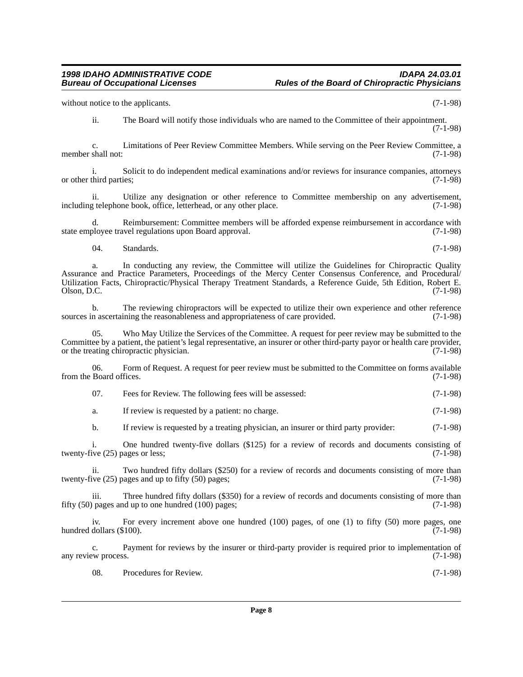ii. Utilize any designation or other reference to Committee membership on any advertisement, reference to Committee membership on any advertisement, (7-1-98) including telephone book, office, letterhead, or any other place.

ii. The Board will notify those individuals who are named to the Committee of their appointment.

c. Limitations of Peer Review Committee Members. While serving on the Peer Review Committee, a shall not: (7-1-98)

d. Reimbursement: Committee members will be afforded expense reimbursement in accordance with state employee travel regulations upon Board approval. (7-1-98)

 $04.$  Standards.  $(7-1-98)$ 

member shall not:

a. In conducting any review, the Committee will utilize the Guidelines for Chiropractic Quality Assurance and Practice Parameters, Proceedings of the Mercy Center Consensus Conference, and Procedural/ Utilization Facts, Chiropractic/Physical Therapy Treatment Standards, a Reference Guide, 5th Edition, Robert E.  $\Box$  Olson, D.C.  $(7-1-98)$ 

b. The reviewing chiropractors will be expected to utilize their own experience and other reference n ascertaining the reasonableness and appropriateness of care provided. (7-1-98) sources in ascertaining the reasonableness and appropriateness of care provided.

05. Who May Utilize the Services of the Committee. A request for peer review may be submitted to the Committee by a patient, the patient's legal representative, an insurer or other third-party payor or health care provider, or the treating chiropractic physician. (7-1-98) or the treating chiropractic physician.

06. Form of Request. A request for peer review must be submitted to the Committee on forms available Board offices. (7-1-98) from the Board offices.

| 07. | Fees for Review. The following fees will be assessed: | $(7-1-98)$ |
|-----|-------------------------------------------------------|------------|
|-----|-------------------------------------------------------|------------|

a. If review is requested by a patient: no charge. (7-1-98)

b. If review is requested by a treating physician, an insurer or third party provider: (7-1-98)

i. One hundred twenty-five dollars  $(\$125)$  for a review of records and documents consisting of ive  $(25)$  pages or less:  $(7-1-98)$ twenty-five  $(25)$  pages or less;

ii. Two hundred fifty dollars (\$250) for a review of records and documents consisting of more than ive (25) pages and up to fifty (50) pages; twenty-five  $(25)$  pages and up to fifty  $(50)$  pages;

iii. Three hundred fifty dollars (\$350) for a review of records and documents consisting of more than fifty (50) pages and up to one hundred (100) pages; (7-1-98)

iv. For every increment above one hundred (100) pages, of one (1) to fifty (50) more pages, one dollars (\$100). (7-1-98) hundred dollars (\$100).

c. Payment for reviews by the insurer or third-party provider is required prior to implementation of ew process.  $(7-1-98)$ any review process.

08. Procedures for Review. (7-1-98)

### *1998 IDAHO ADMINISTRATIVE CODE IDAPA 24.03.01* **Rules of the Board of Chiropractic Physicians**

(7-1-98)